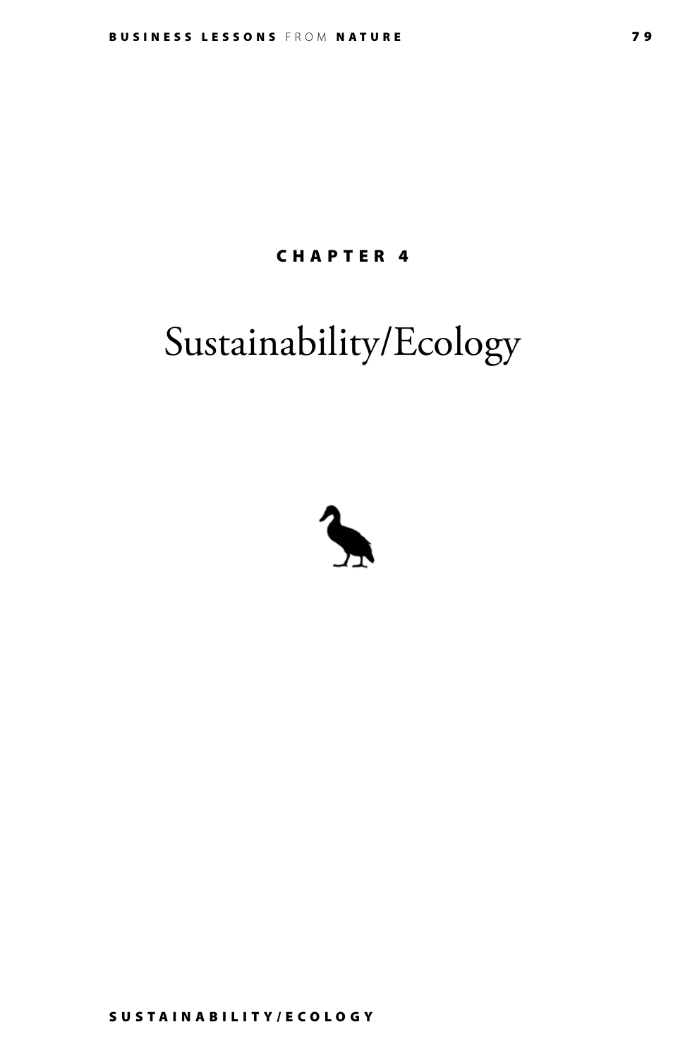## C H A P T E R 4

## Sustainability/Ecology

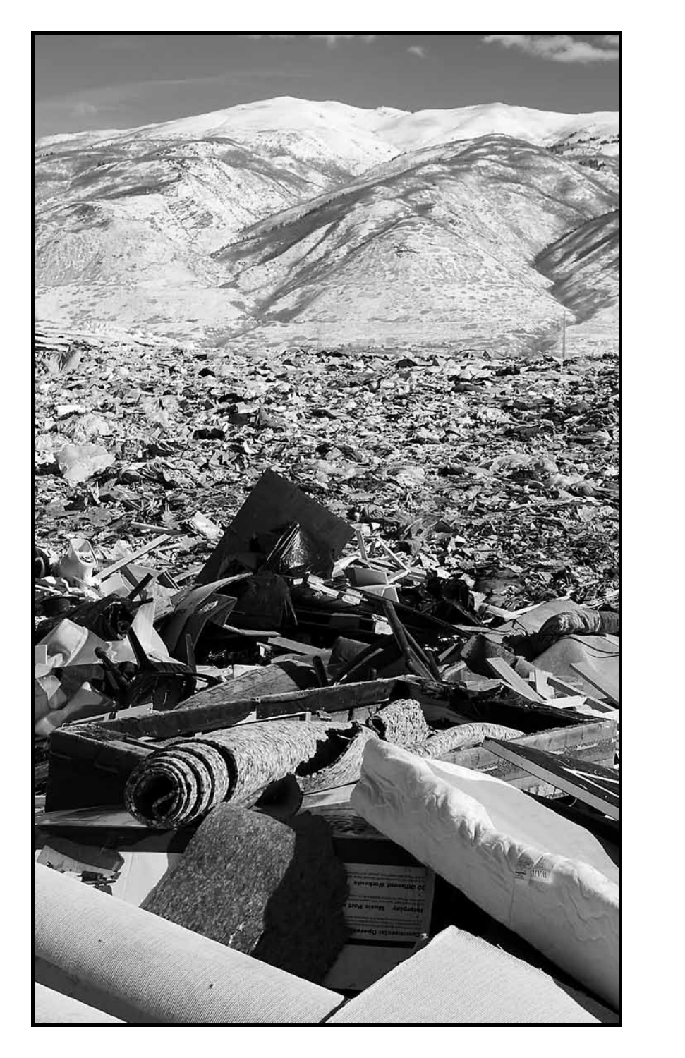